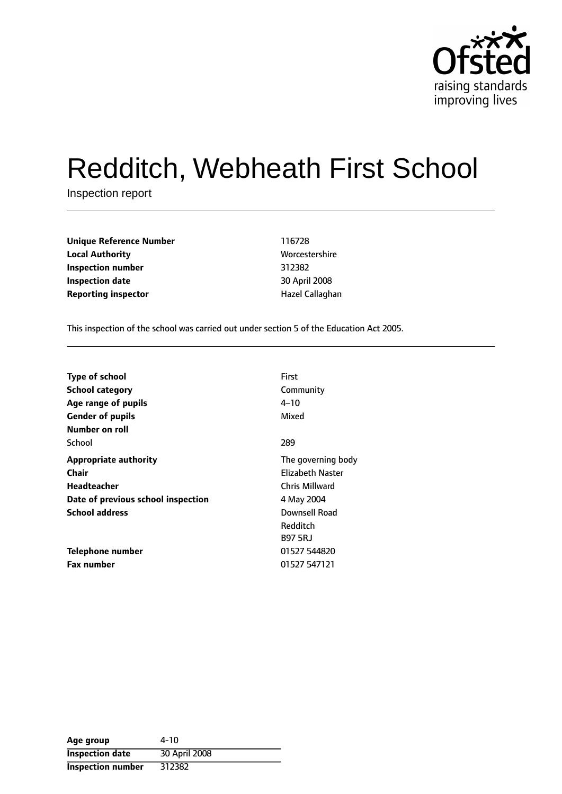

# Redditch, Webheath First School

Inspection report

**Unique Reference Number** 116728 **Local Authority** Morcestershire **Inspection number** 312382 **Inspection date** 30 April 2008 **Reporting inspector According the Exercise Callaghan** 

This inspection of the school was carried out under section 5 of the Education Act 2005.

| First                   |
|-------------------------|
| Community               |
| 4–10                    |
| Mixed                   |
|                         |
| 289                     |
| The governing body      |
| <b>Elizabeth Naster</b> |
| Chris Millward          |
| 4 May 2004              |
| Downsell Road           |
| Redditch                |
| <b>B97 5RJ</b>          |
| 01527 544820            |
| 01527 547121            |
|                         |

| Age group              | 4-10          |
|------------------------|---------------|
| <b>Inspection date</b> | 30 April 2008 |
| Inspection number      | 312382        |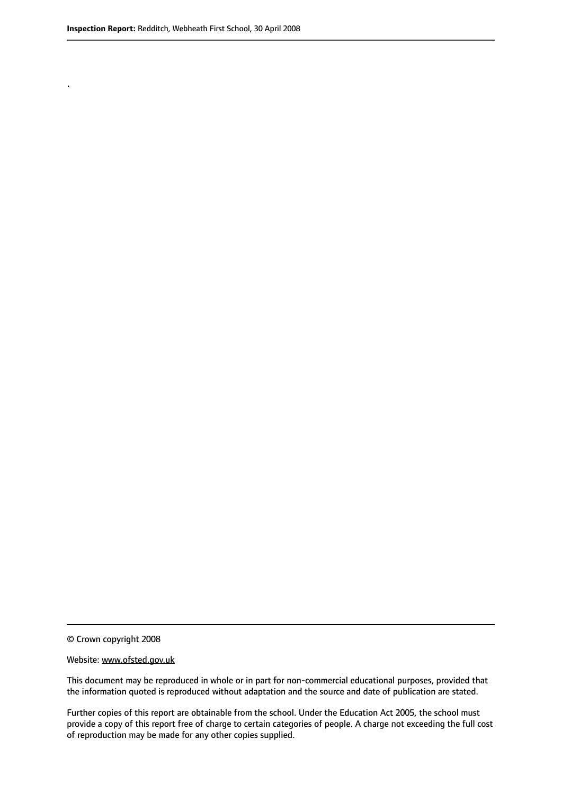.

© Crown copyright 2008

#### Website: www.ofsted.gov.uk

This document may be reproduced in whole or in part for non-commercial educational purposes, provided that the information quoted is reproduced without adaptation and the source and date of publication are stated.

Further copies of this report are obtainable from the school. Under the Education Act 2005, the school must provide a copy of this report free of charge to certain categories of people. A charge not exceeding the full cost of reproduction may be made for any other copies supplied.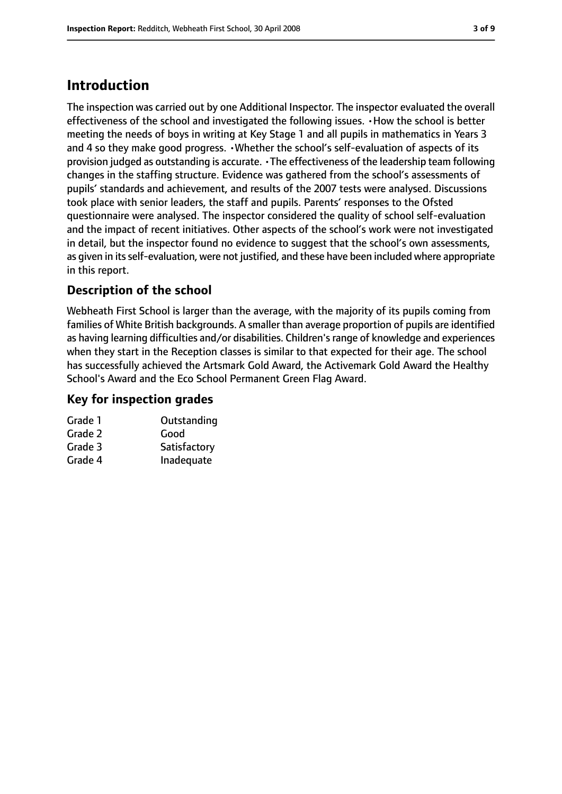## **Introduction**

The inspection was carried out by one Additional Inspector. The inspector evaluated the overall effectiveness of the school and investigated the following issues. •How the school is better meeting the needs of boys in writing at Key Stage 1 and all pupils in mathematics in Years 3 and 4 so they make good progress. •Whether the school's self-evaluation of aspects of its provision judged as outstanding is accurate. •The effectiveness of the leadership team following changes in the staffing structure. Evidence was gathered from the school's assessments of pupils' standards and achievement, and results of the 2007 tests were analysed. Discussions took place with senior leaders, the staff and pupils. Parents' responses to the Ofsted questionnaire were analysed. The inspector considered the quality of school self-evaluation and the impact of recent initiatives. Other aspects of the school's work were not investigated in detail, but the inspector found no evidence to suggest that the school's own assessments, as given in its self-evaluation, were not justified, and these have been included where appropriate in this report.

## **Description of the school**

Webheath First School is larger than the average, with the majority of its pupils coming from families of White British backgrounds. A smaller than average proportion of pupils are identified as having learning difficulties and/or disabilities. Children'srange of knowledge and experiences when they start in the Reception classes is similar to that expected for their age. The school has successfully achieved the Artsmark Gold Award, the Activemark Gold Award the Healthy School's Award and the Eco School Permanent Green Flag Award.

## **Key for inspection grades**

| Outstanding  |
|--------------|
| Good         |
| Satisfactory |
| Inadequate   |
|              |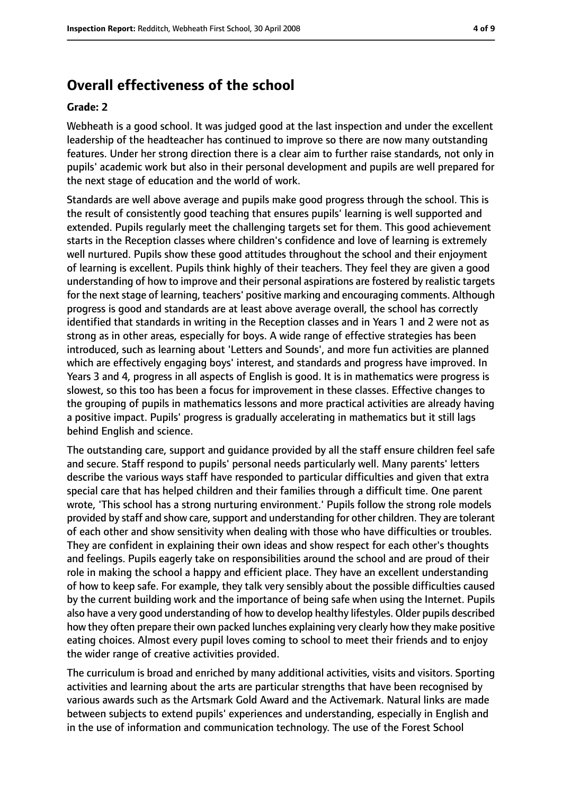## **Overall effectiveness of the school**

#### **Grade: 2**

Webheath is a good school. It was judged good at the last inspection and under the excellent leadership of the headteacher has continued to improve so there are now many outstanding features. Under her strong direction there is a clear aim to further raise standards, not only in pupils' academic work but also in their personal development and pupils are well prepared for the next stage of education and the world of work.

Standards are well above average and pupils make good progress through the school. This is the result of consistently good teaching that ensures pupils' learning is well supported and extended. Pupils regularly meet the challenging targets set for them. This good achievement starts in the Reception classes where children's confidence and love of learning is extremely well nurtured. Pupils show these good attitudes throughout the school and their enjoyment of learning is excellent. Pupils think highly of their teachers. They feel they are given a good understanding of how to improve and their personal aspirations are fostered by realistic targets for the next stage of learning, teachers' positive marking and encouraging comments. Although progress is good and standards are at least above average overall, the school has correctly identified that standards in writing in the Reception classes and in Years 1 and 2 were not as strong as in other areas, especially for boys. A wide range of effective strategies has been introduced, such as learning about 'Letters and Sounds', and more fun activities are planned which are effectively engaging boys' interest, and standards and progress have improved. In Years 3 and 4, progress in all aspects of English is good. It is in mathematics were progress is slowest, so this too has been a focus for improvement in these classes. Effective changes to the grouping of pupils in mathematics lessons and more practical activities are already having a positive impact. Pupils' progress is gradually accelerating in mathematics but it still lags behind English and science.

The outstanding care, support and guidance provided by all the staff ensure children feel safe and secure. Staff respond to pupils' personal needs particularly well. Many parents' letters describe the various ways staff have responded to particular difficulties and given that extra special care that has helped children and their families through a difficult time. One parent wrote, 'This school has a strong nurturing environment.' Pupils follow the strong role models provided by staff and show care, support and understanding for other children. They are tolerant of each other and show sensitivity when dealing with those who have difficulties or troubles. They are confident in explaining their own ideas and show respect for each other's thoughts and feelings. Pupils eagerly take on responsibilities around the school and are proud of their role in making the school a happy and efficient place. They have an excellent understanding of how to keep safe. For example, they talk very sensibly about the possible difficulties caused by the current building work and the importance of being safe when using the Internet. Pupils also have a very good understanding of how to develop healthy lifestyles. Older pupils described how they often prepare their own packed lunches explaining very clearly how they make positive eating choices. Almost every pupil loves coming to school to meet their friends and to enjoy the wider range of creative activities provided.

The curriculum is broad and enriched by many additional activities, visits and visitors. Sporting activities and learning about the arts are particular strengths that have been recognised by various awards such as the Artsmark Gold Award and the Activemark. Natural links are made between subjects to extend pupils' experiences and understanding, especially in English and in the use of information and communication technology. The use of the Forest School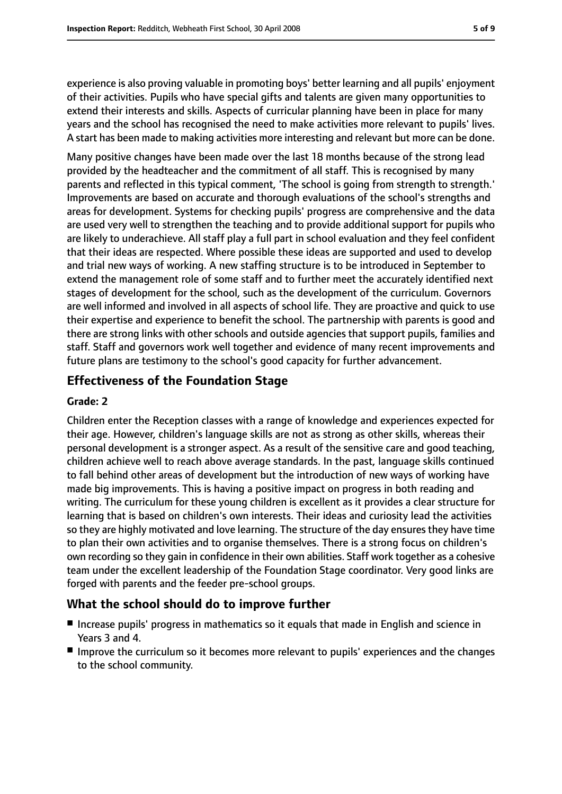experience is also proving valuable in promoting boys' better learning and all pupils' enjoyment of their activities. Pupils who have special gifts and talents are given many opportunities to extend their interests and skills. Aspects of curricular planning have been in place for many years and the school has recognised the need to make activities more relevant to pupils' lives. A start has been made to making activities more interesting and relevant but more can be done.

Many positive changes have been made over the last 18 months because of the strong lead provided by the headteacher and the commitment of all staff. This is recognised by many parents and reflected in this typical comment, 'The school is going from strength to strength.' Improvements are based on accurate and thorough evaluations of the school's strengths and areas for development. Systems for checking pupils' progress are comprehensive and the data are used very well to strengthen the teaching and to provide additional support for pupils who are likely to underachieve. All staff play a full part in school evaluation and they feel confident that their ideas are respected. Where possible these ideas are supported and used to develop and trial new ways of working. A new staffing structure is to be introduced in September to extend the management role of some staff and to further meet the accurately identified next stages of development for the school, such as the development of the curriculum. Governors are well informed and involved in all aspects of school life. They are proactive and quick to use their expertise and experience to benefit the school. The partnership with parents is good and there are strong links with other schools and outside agencies that support pupils, families and staff. Staff and governors work well together and evidence of many recent improvements and future plans are testimony to the school's good capacity for further advancement.

## **Effectiveness of the Foundation Stage**

#### **Grade: 2**

Children enter the Reception classes with a range of knowledge and experiences expected for their age. However, children's language skills are not as strong as other skills, whereas their personal development is a stronger aspect. As a result of the sensitive care and good teaching, children achieve well to reach above average standards. In the past, language skills continued to fall behind other areas of development but the introduction of new ways of working have made big improvements. This is having a positive impact on progress in both reading and writing. The curriculum for these young children is excellent as it provides a clear structure for learning that is based on children's own interests. Their ideas and curiosity lead the activities so they are highly motivated and love learning. The structure of the day ensures they have time to plan their own activities and to organise themselves. There is a strong focus on children's own recording so they gain in confidence in their own abilities. Staff work together as a cohesive team under the excellent leadership of the Foundation Stage coordinator. Very good links are forged with parents and the feeder pre-school groups.

## **What the school should do to improve further**

- Increase pupils' progress in mathematics so it equals that made in English and science in Years 3 and 4.
- Improve the curriculum so it becomes more relevant to pupils' experiences and the changes to the school community.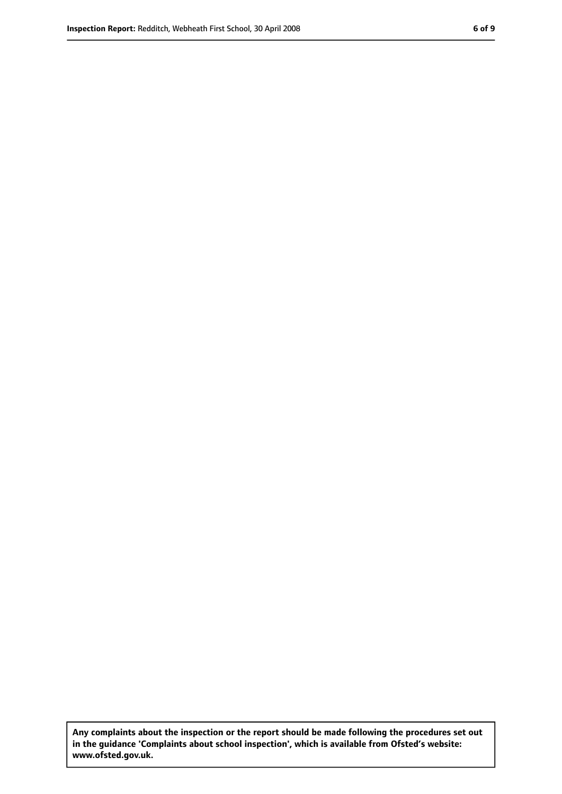**Any complaints about the inspection or the report should be made following the procedures set out in the guidance 'Complaints about school inspection', which is available from Ofsted's website: www.ofsted.gov.uk.**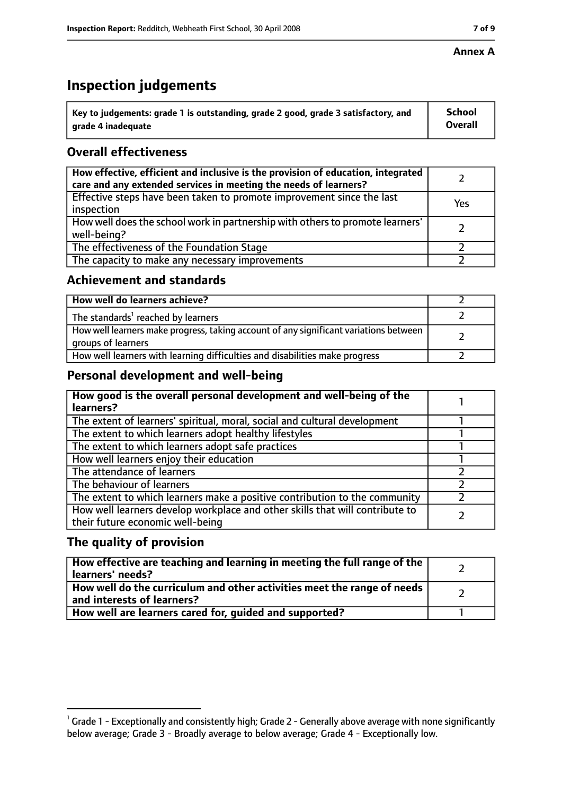#### **Annex A**

## **Inspection judgements**

| $^{\backprime}$ Key to judgements: grade 1 is outstanding, grade 2 good, grade 3 satisfactory, and | <b>School</b>  |
|----------------------------------------------------------------------------------------------------|----------------|
| arade 4 inadequate                                                                                 | <b>Overall</b> |

## **Overall effectiveness**

| How effective, efficient and inclusive is the provision of education, integrated<br>care and any extended services in meeting the needs of learners? |     |
|------------------------------------------------------------------------------------------------------------------------------------------------------|-----|
| Effective steps have been taken to promote improvement since the last<br>inspection                                                                  | Yes |
| How well does the school work in partnership with others to promote learners'<br>well-being?                                                         |     |
| The effectiveness of the Foundation Stage                                                                                                            |     |
| The capacity to make any necessary improvements                                                                                                      |     |

### **Achievement and standards**

| How well do learners achieve?                                                                               |  |
|-------------------------------------------------------------------------------------------------------------|--|
| The standards <sup>1</sup> reached by learners                                                              |  |
| How well learners make progress, taking account of any significant variations between<br>groups of learners |  |
| How well learners with learning difficulties and disabilities make progress                                 |  |

## **Personal development and well-being**

| How good is the overall personal development and well-being of the<br>learners?                                  |  |
|------------------------------------------------------------------------------------------------------------------|--|
| The extent of learners' spiritual, moral, social and cultural development                                        |  |
| The extent to which learners adopt healthy lifestyles                                                            |  |
| The extent to which learners adopt safe practices                                                                |  |
| How well learners enjoy their education                                                                          |  |
| The attendance of learners                                                                                       |  |
| The behaviour of learners                                                                                        |  |
| The extent to which learners make a positive contribution to the community                                       |  |
| How well learners develop workplace and other skills that will contribute to<br>their future economic well-being |  |

## **The quality of provision**

| How effective are teaching and learning in meeting the full range of the<br>learners' needs?          |  |
|-------------------------------------------------------------------------------------------------------|--|
| How well do the curriculum and other activities meet the range of needs<br>and interests of learners? |  |
| How well are learners cared for, quided and supported?                                                |  |

 $^1$  Grade 1 - Exceptionally and consistently high; Grade 2 - Generally above average with none significantly below average; Grade 3 - Broadly average to below average; Grade 4 - Exceptionally low.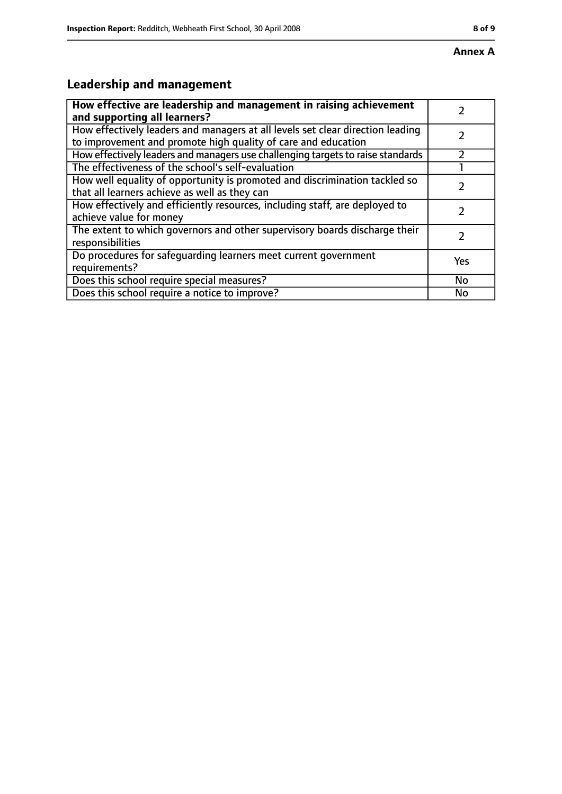## **Leadership and management**

| How effective are leadership and management in raising achievement                                                                              |     |
|-------------------------------------------------------------------------------------------------------------------------------------------------|-----|
| and supporting all learners?                                                                                                                    |     |
| How effectively leaders and managers at all levels set clear direction leading<br>to improvement and promote high quality of care and education |     |
| How effectively leaders and managers use challenging targets to raise standards                                                                 |     |
| The effectiveness of the school's self-evaluation                                                                                               |     |
| How well equality of opportunity is promoted and discrimination tackled so<br>that all learners achieve as well as they can                     |     |
| How effectively and efficiently resources, including staff, are deployed to<br>achieve value for money                                          | フ   |
| The extent to which governors and other supervisory boards discharge their<br>responsibilities                                                  |     |
| Do procedures for safequarding learners meet current government<br>requirements?                                                                | Yes |
| Does this school require special measures?                                                                                                      | No  |
| Does this school require a notice to improve?                                                                                                   | No  |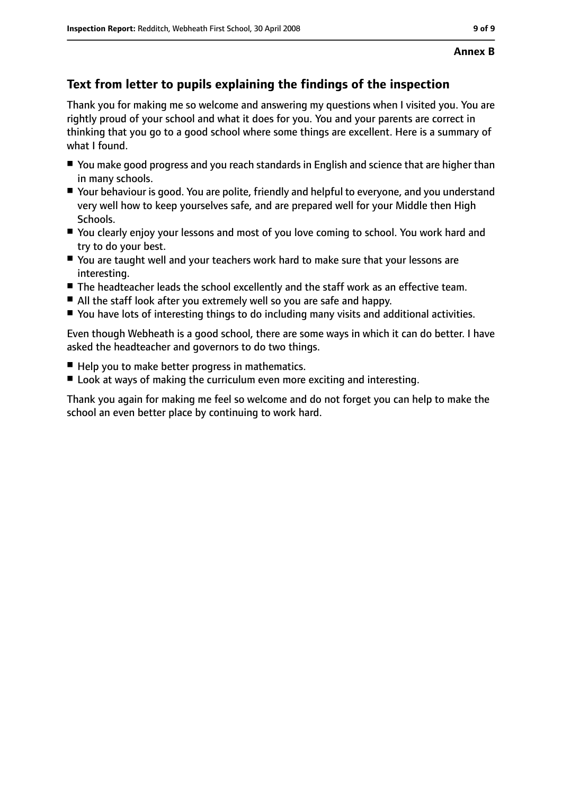## **Text from letter to pupils explaining the findings of the inspection**

Thank you for making me so welcome and answering my questions when I visited you. You are rightly proud of your school and what it does for you. You and your parents are correct in thinking that you go to a good school where some things are excellent. Here is a summary of what I found.

- You make good progress and you reach standards in English and science that are higher than in many schools.
- Your behaviour is good. You are polite, friendly and helpful to everyone, and you understand very well how to keep yourselves safe, and are prepared well for your Middle then High Schools.
- You clearly enjoy your lessons and most of you love coming to school. You work hard and try to do your best.
- You are taught well and your teachers work hard to make sure that your lessons are interesting.
- The headteacher leads the school excellently and the staff work as an effective team.
- All the staff look after you extremely well so you are safe and happy.
- You have lots of interesting things to do including many visits and additional activities.

Even though Webheath is a good school, there are some ways in which it can do better. I have asked the headteacher and governors to do two things.

- Help you to make better progress in mathematics.
- Look at ways of making the curriculum even more exciting and interesting.

Thank you again for making me feel so welcome and do not forget you can help to make the school an even better place by continuing to work hard.